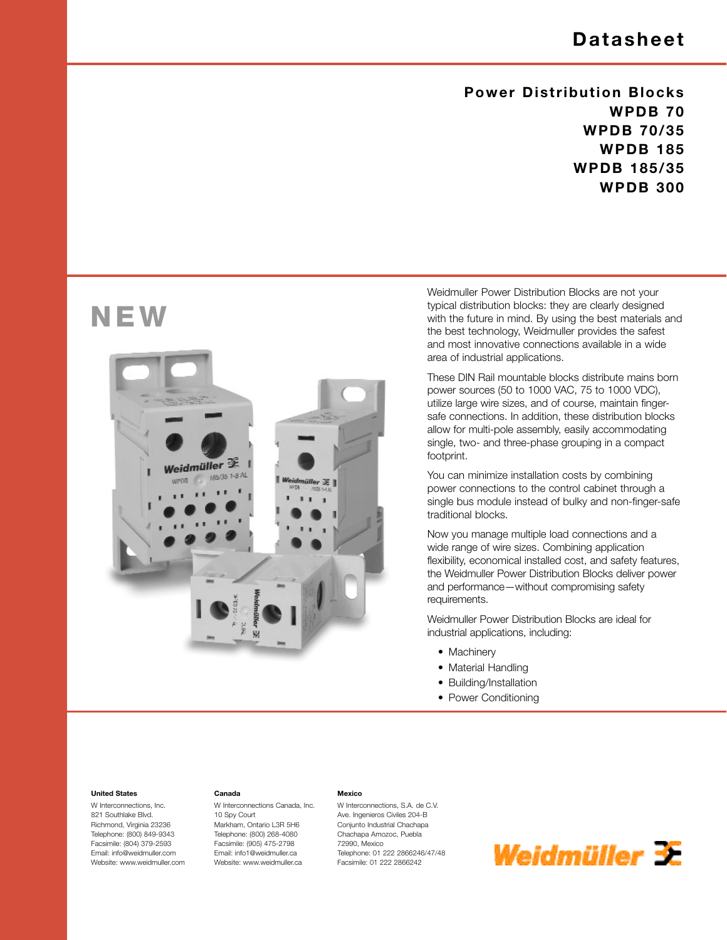### **Datasheet**

### **Power Distribution Blocks WPDB 70 WPDB 70/35 WPDB 185 WPDB 185/35 WPDB 300**

## **NEW**



**Canada**

10 Spy Court Markham, Ontario L3R 5H6 Telephone: (800) 268-4080 Facsimile: (905) 475-2798 Email: info1@weidmuller.ca Website: www.weidmuller.ca

W Interconnections Canada, Inc.

Weidmuller Power Distribution Blocks are not your typical distribution blocks: they are clearly designed with the future in mind. By using the best materials and the best technology, Weidmuller provides the safest and most innovative connections available in a wide area of industrial applications.

These DIN Rail mountable blocks distribute mains born power sources (50 to 1000 VAC, 75 to 1000 VDC), utilize large wire sizes, and of course, maintain fingersafe connections. In addition, these distribution blocks allow for multi-pole assembly, easily accommodating single, two- and three-phase grouping in a compact footprint.

You can minimize installation costs by combining power connections to the control cabinet through a single bus module instead of bulky and non-finger-safe traditional blocks.

Now you manage multiple load connections and a wide range of wire sizes. Combining application flexibility, economical installed cost, and safety features, the Weidmuller Power Distribution Blocks deliver power and performance—without compromising safety requirements.

Weidmuller Power Distribution Blocks are ideal for industrial applications, including:

- Machinery
- Material Handling
- Building/Installation
- Power Conditioning

#### **United States**

W Interconnections, Inc. 821 Southlake Blvd. Richmond, Virginia 23236 Telephone: (800) 849-9343 Facsimile: (804) 379-2593 Email: info@weidmuller.com Website: www.weidmuller.com

#### **Mexico**

W Interconnections, S.A. de C.V. Ave. Ingenieros Civiles 204-B Conjunto Industrial Chachapa Chachapa Amozoc, Puebla 72990, Mexico Telephone: 01 222 2866246/47/48 Facsimile: 01 222 2866242

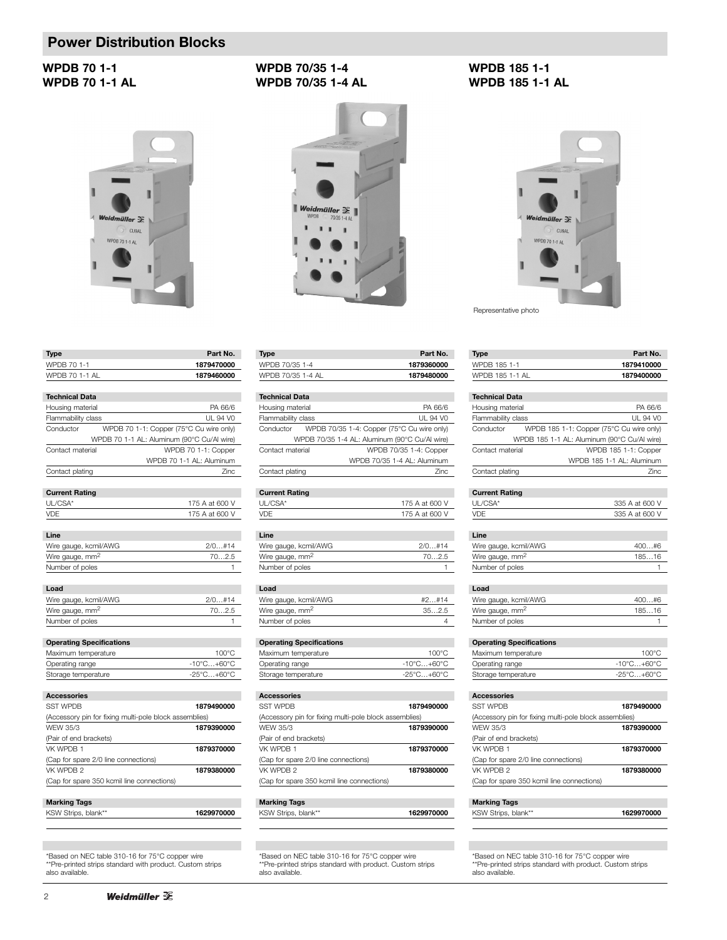#### **WPDB 70 1-1 WPDB 70 1-1 AL**

# Π Weidmüller  $\mathscr{E}$ CUSAL WPDB 70 1-1 AL

| <b>WPDB 70/35 1-4 AL</b>                                                                                                                                                                                                                                      |  |
|---------------------------------------------------------------------------------------------------------------------------------------------------------------------------------------------------------------------------------------------------------------|--|
|                                                                                                                                                                                                                                                               |  |
| <b>Constitution of the Second Constitution of the Constitution of the Constitution of the Constitution of the Constitution of the Constitution of the Constitution of the Constitution of the Constitution of the Constitution o</b><br><b>CAR WORK BEING</b> |  |

**WPDB 70/35 1-4**



| WPDB 70 1-1           | 1879470000                              |
|-----------------------|-----------------------------------------|
| WPDB 70 1-1 AL        | 1879460000                              |
|                       |                                         |
| <b>Technical Data</b> |                                         |
| Housing material      | PA 66/6                                 |
| Flammability class    | UL 94 VO                                |
| Conductor             | WPDR 70 1-1: Conner (75°C Cu wire only) |

**Type Part No.** 

| ooniaadton                      | The state of the state of the complete the control of the state of the state of the state of the state of the s |
|---------------------------------|-----------------------------------------------------------------------------------------------------------------|
|                                 | WPDB 70 1-1 AL: Aluminum (90°C Cu/Al wire)                                                                      |
| Contact material                | WPDB 70 1-1: Copper                                                                                             |
|                                 | WPDB 70 1-1 AL: Aluminum                                                                                        |
| Contact plating                 | 7inc                                                                                                            |
|                                 |                                                                                                                 |
| <b>Current Rating</b>           |                                                                                                                 |
| UL/CSA*                         | 175 A at 600 V                                                                                                  |
| VDE                             | 175 A at 600 V                                                                                                  |
|                                 |                                                                                                                 |
| Line                            |                                                                                                                 |
| Wire gauge, kcmil/AWG           | 2/0#14                                                                                                          |
| Wire gauge, mm <sup>2</sup>     | 702.5                                                                                                           |
| Number of poles                 | 1                                                                                                               |
|                                 |                                                                                                                 |
| Load                            |                                                                                                                 |
| Wire gauge, kcmil/AWG           | 2/0#14                                                                                                          |
| Wire gauge, mm <sup>2</sup>     | 702.5                                                                                                           |
| Number of poles                 |                                                                                                                 |
|                                 |                                                                                                                 |
| <b>Operating Specifications</b> |                                                                                                                 |
| Maximum temperature             | 100°C                                                                                                           |
| Operating range                 | $-10^{\circ}$ C $+60^{\circ}$ C                                                                                 |
| Storage temperature             | $-25^{\circ}$ C $+60^{\circ}$ C                                                                                 |
|                                 |                                                                                                                 |
| <b>Accessories</b>              |                                                                                                                 |

| <b>SST WPDB</b>                                        | 1879490000   |
|--------------------------------------------------------|--------------|
| (Accessory pin for fixing multi-pole block assemblies) |              |
| WFW 35/3                                               | 1879390000   |
| (Pair of end brackets)                                 |              |
| VK WPDR 1                                              | 1879370000   |
| (Cap for spare 2/0 line connections)                   |              |
| VK WPDB 2                                              | 1879380000   |
| (Cap for spare 350 kcmil line connections)             |              |
|                                                        |              |
| <b>Marking Tags</b>                                    |              |
|                                                        | 100000000000 |

| KSW Strips, blank** | 1629970000 |
|---------------------|------------|
|                     |            |

\*Based on NEC table 310-16 for 75°C copper wire \*\*Pre-printed strips standard with product. Custom strips also available.

| Part No.   |
|------------|
| 1879360000 |
| 1879480000 |
|            |

| <b>Technical Data</b> |                                               |
|-----------------------|-----------------------------------------------|
| Housing material      | PA 66/6                                       |
| Flammability class    | UL 94 VO                                      |
| Conductor             | WPDB 70/35 1-4: Copper (75°C Cu wire only)    |
|                       | WPDB 70/35 1-4 AL: Aluminum (90°C Cu/Al wire) |
| Contact material      | WPDB 70/35 1-4: Copper                        |
|                       | WPDB 70/35 1-4 AL: Aluminum                   |
| Contact plating       | Zinc                                          |
|                       |                                               |

#### **Current Rating**

| UL/CSA* | 175 A at 600 V |
|---------|----------------|
| VDF     | 175 A at 600 V |
|         |                |

| 2/0#14 |
|--------|
| 702.5  |
|        |
|        |

#### **Load**

I

| #2#14 |
|-------|
| 352.5 |
|       |
|       |

#### **Operating Specifications**

| Maximum temperature | $100^{\circ}$ C                     |
|---------------------|-------------------------------------|
| Operating range     | $-10^{\circ}$ C $+60^{\circ}$ C $-$ |
| Storage temperature | -25°C+60°C                          |

| <b>Accessories</b>                                     |            |
|--------------------------------------------------------|------------|
| <b>SST WPDB</b>                                        | 1879490000 |
| (Accessory pin for fixing multi-pole block assemblies) |            |
| WFW 35/3                                               | 1879390000 |
| (Pair of end brackets)                                 |            |
| VK WPDB 1                                              | 1879370000 |
| (Cap for spare 2/0 line connections)                   |            |
| VK WPDB 2                                              | 1879380000 |
| (Cap for spare 350 kcmil line connections)             |            |
|                                                        |            |

#### **Marking Tags** KSW Strips, blank\*\* **1629970000**

## \*Based on NEC table 310-16 for 75°C copper wire \*\*Pre-printed strips standard with product. Custom strips also available.

#### **WPDB 185 1-1 WPDB 185 1-1 AL**



Representative photo

| <b>Type</b>                                            | Part No.                                    |
|--------------------------------------------------------|---------------------------------------------|
| WPDB 185 1-1                                           | 1879410000                                  |
| WPDB 185 1-1 AL                                        | 1879400000                                  |
|                                                        |                                             |
| <b>Technical Data</b>                                  |                                             |
| Housing material                                       | PA 66/6                                     |
| Flammability class                                     | <b>UL 94 VO</b>                             |
| Conductor                                              | WPDB 185 1-1: Copper (75°C Cu wire only)    |
|                                                        | WPDB 185 1-1 AL: Aluminum (90°C Cu/Al wire) |
| Contact material                                       | WPDB 185 1-1: Copper                        |
|                                                        | WPDB 185 1-1 AL: Aluminum                   |
| Contact plating                                        | Zinc                                        |
|                                                        |                                             |
| <b>Current Rating</b>                                  |                                             |
| UL/CSA*                                                | 335 A at 600 V                              |
| <b>VDE</b>                                             | 335 A at 600 V                              |
|                                                        |                                             |
| Line                                                   |                                             |
| Wire gauge, kcmil/AWG                                  | 400#6                                       |
| Wire gauge, mm <sup>2</sup>                            | 18516                                       |
| Number of poles                                        | 1                                           |
| Load                                                   |                                             |
| Wire gauge, kcmil/AWG                                  | 400#6                                       |
| Wire gauge, mm <sup>2</sup>                            | 18516                                       |
| Number of poles                                        | 1                                           |
|                                                        |                                             |
| <b>Operating Specifications</b>                        |                                             |
| Maximum temperature                                    | $100^{\circ}$ C                             |
| Operating range                                        | $-10^{\circ}$ C $+60^{\circ}$ C             |
| Storage temperature                                    | $-25^{\circ}$ C+60 $^{\circ}$ C             |
|                                                        |                                             |
| <b>Accessories</b>                                     |                                             |
| <b>SST WPDB</b>                                        | 1879490000                                  |
| (Accessory pin for fixing multi-pole block assemblies) |                                             |
| <b>WFW 35/3</b>                                        | 1879390000                                  |
| (Pair of end brackets)                                 |                                             |
| VK WPDB 1                                              | 1879370000                                  |
| (Cap for spare 2/0 line connections)                   |                                             |
| VK WPDB 2                                              | 1879380000                                  |
| (Cap for spare 350 kcmil line connections)             |                                             |
|                                                        |                                             |
| <b>Marking Tags</b>                                    |                                             |
| KSW Strips, blank**                                    | 1629970000                                  |

\*Based on NEC table 310-16 for 75°C copper wire \*\*Pre-printed strips standard with product. Custom strips also available.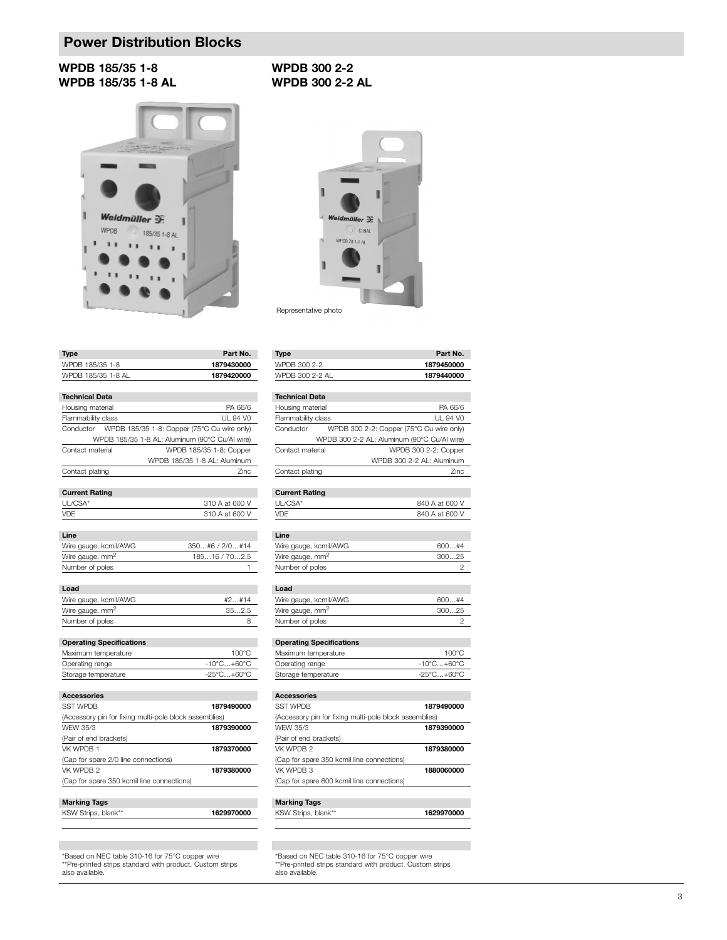#### **WPDB 185/35 1-8 WPDB 185/35 1-8 AL**



#### **WPDB 300 2-2 WPDB 300 2-2 AL**



#### **Type Part No.**<br>WPDB 185/35 1-8 **1879430000** WPDB 185/35 1-8 WPDB 185/35 1-8 AL **1879420000 Technical Data**

| Housing material                                       | PA 66/6                                               |
|--------------------------------------------------------|-------------------------------------------------------|
| Flammability class                                     | UL 94 V0                                              |
|                                                        | Conductor WPDB 185/35 1-8: Copper (75°C Cu wire only) |
|                                                        | WPDB 185/35 1-8 AL: Aluminum (90°C Cu/Al wire)        |
| Contact material                                       | WPDB 185/35 1-8: Copper                               |
|                                                        | WPDB 185/35 1-8 AL: Aluminum                          |
| Contact plating                                        | <b>Zinc</b>                                           |
| <b>Current Rating</b>                                  |                                                       |
| UL/CSA*                                                | 310 A at 600 V                                        |
| VDE                                                    | 310 A at 600 V                                        |
|                                                        |                                                       |
| Line                                                   |                                                       |
| Wire gauge, kcmil/AWG                                  | 350#6 / 2/0#14                                        |
| Wire gauge, mm <sup>2</sup>                            | 18516 / 702.5                                         |
| Number of poles                                        | 1                                                     |
|                                                        |                                                       |
| Load                                                   |                                                       |
| Wire gauge, kcmil/AWG                                  | #2#14                                                 |
| Wire gauge, mm <sup>2</sup>                            | 352.5                                                 |
| Number of poles                                        | 8                                                     |
|                                                        |                                                       |
| <b>Operating Specifications</b>                        |                                                       |
| Maximum temperature                                    | $100^{\circ}$ C                                       |
| Operating range                                        | $-10^{\circ}$ C $+60^{\circ}$ C                       |
| Storage temperature                                    | $-25^{\circ}$ C $+60^{\circ}$ C                       |
| <b>Accessories</b>                                     |                                                       |
| <b>SST WPDB</b>                                        | 1879490000                                            |
| (Accessory pin for fixing multi-pole block assemblies) |                                                       |
| <b>WFW 35/3</b>                                        | 1879390000                                            |
| (Pair of end brackets)                                 |                                                       |
| VK WPDB 1                                              | 1879370000                                            |
| (Cap for spare 2/0 line connections)                   |                                                       |
| VK WPDB 2                                              | 1879380000                                            |
| (Cap for spare 350 kcmil line connections)             |                                                       |
|                                                        |                                                       |
| <b>Marking Tags</b>                                    |                                                       |

## KSW Strips, blank\*\* **1629970000**

\*Based on NEC table 310-16 for 75°C copper wire \*\*Pre-printed strips standard with product. Custom strips also available.

| Type            | Part No.   |
|-----------------|------------|
| WPDB 300 2-2    | 1879450000 |
| WPDB 300 2-2 AI | 1879440000 |

#### **Technical Data** Housing material PA 66/6 Flammability class UL 94 V0 Conductor WPDB 300 2-2: Copper (75°C Cu wire only) WPDB 300 2-2 AL: Aluminum (90°C Cu/Al wire) Contact material WPDB 300 2-2: Copper WPDB 300 2-2 AL: Aluminum Contact plating Zinc

#### **Current Rating**

| UL/CSA* | 840 A at 600 V |
|---------|----------------|
| VDF     | 840 A at 600 V |
|         |                |

| Line                        |       |
|-----------------------------|-------|
| Wire gauge, kcmil/AWG       | 600#4 |
| Wire gauge, mm <sup>2</sup> | 30025 |
| Number of poles             |       |
|                             |       |

#### **Load**

| Wire gauge, kcmil/AWG       | 600#4 |
|-----------------------------|-------|
| Wire gauge, mm <sup>2</sup> | 30025 |
| Number of poles             |       |
|                             |       |

#### **Operating Specifications**

| Maximum temperature | 100°C                           |
|---------------------|---------------------------------|
| Operating range     | $-10^{\circ}$ C+60 $^{\circ}$ C |
| Storage temperature | -25°C+60°C                      |
|                     |                                 |

| Accessories                                            |            |
|--------------------------------------------------------|------------|
| <b>SST WPDB</b>                                        | 1879490000 |
| (Accessory pin for fixing multi-pole block assemblies) |            |
| WFW 35/3                                               | 1879390000 |
| (Pair of end brackets)                                 |            |
| VK WPDB 2                                              | 1879380000 |
| (Cap for spare 350 kcmil line connections)             |            |
| VK WPDB 3                                              | 1880060000 |
| (Cap for spare 600 kcmil line connections)             |            |
|                                                        |            |
| <b>Marking Tags</b>                                    |            |

\*Based on NEC table 310-16 for 75°C copper wire \*\*Pre-printed strips standard with product. Custom strips also available.

KSW Strips, blank\*\* **1629970000**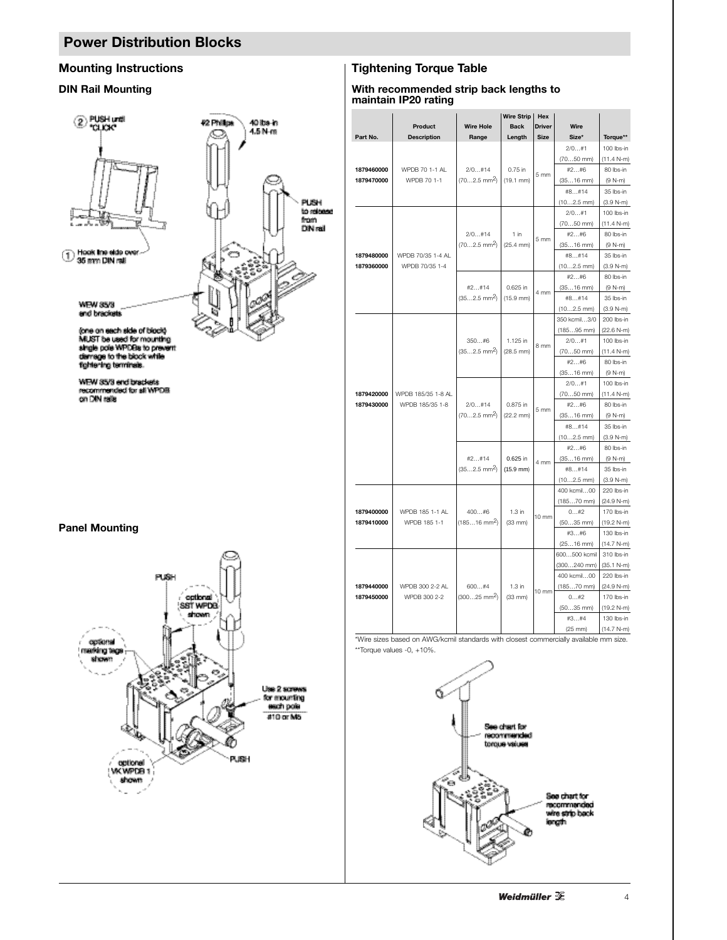

WEW 35/3 end brackets<br>recommended for all WPDB<br>on DIN rails

#### **Panel Mounting**



#### **Mounting Instructions The Contract Except Engineering Torque Table** Torque Table

#### **DIN Rail Mounting With recommended strip back lengths to maintain IP20 rating**

|                          | Wire Strip<br>Hex               |                                       |                                 |                 |                       |                          |
|--------------------------|---------------------------------|---------------------------------------|---------------------------------|-----------------|-----------------------|--------------------------|
|                          | Product                         | <b>Wire Hole</b>                      | <b>Back</b>                     | <b>Driver</b>   | Wire                  |                          |
| Part No.                 | <b>Description</b>              | Range                                 | Length                          | <b>Size</b>     | Size*                 | Torque**                 |
|                          |                                 |                                       |                                 |                 | 2/0#1                 | 100 lbs-in               |
|                          |                                 |                                       |                                 |                 | $(7050$ mm)           | $(11.4 N-m)$             |
| 1879460000               | WPDB 70 1-1 AL                  | 2/0#14                                | 0.75 in                         |                 | #2#6                  | 80 lbs-in                |
| 1879470000               | WPDB 70 1-1                     | $(702.5)$ mm <sup>2</sup> )           | $(19.1$ mm)                     | 5 mm            | $(3516$ mm)           | $(9 N-m)$                |
|                          |                                 |                                       |                                 |                 | #8#14                 | 35 lbs-in                |
|                          |                                 |                                       |                                 |                 | $(102.5$ mm)          | $(3.9 N-m)$              |
|                          |                                 |                                       |                                 |                 | 2/0#1                 | 100 lbs-in               |
|                          |                                 |                                       |                                 |                 | $(7050$ mm)           | $(11.4 N-m)$             |
|                          |                                 | 2/0#14                                | 1 in                            | 5 <sub>mm</sub> | #2#6                  | 80 lbs-in                |
|                          |                                 | $(702.5)$ mm <sup>2</sup> )           | $(25.4$ mm $)$                  |                 | $(3516$ mm)           | $(9 N-m)$                |
| 1879480000               | WPDB 70/35 1-4 AL               |                                       |                                 |                 | #8#14                 | 35 lbs-in                |
| 1879360000               | WPDB 70/35 1-4                  |                                       |                                 |                 | $(102.5$ mm)          | $(3.9 N-m)$              |
|                          |                                 |                                       |                                 |                 | #2#6                  | 80 lbs-in                |
|                          |                                 | #2#14                                 | 0.625 in                        | 4 mm            | $(3516$ mm)           | $(9 N-m)$                |
|                          |                                 | $(352.5)$ mm <sup>2</sup>             | $(15.9$ mm)                     |                 | #8#14                 | 35 Ibs-in                |
|                          |                                 |                                       |                                 |                 | $(102.5$ mm)          | $(3.9 N-m)$              |
|                          |                                 |                                       |                                 |                 | 350 kcmil3/0          | 200 lbs-in               |
|                          |                                 |                                       |                                 |                 | $(18595$ mm)          | $(22.6 N-m)$             |
|                          |                                 | 350#6                                 | 1.125 in                        | 8 mm            | 2/0#1                 | 100 lbs-in               |
|                          |                                 | $(352.5)$ mm <sup>2</sup> )           | $(28.5$ mm)                     |                 | $(7050$ mm)           | $(11.4 N-m)$             |
|                          |                                 |                                       |                                 |                 | #2#6                  | 80 lbs-in                |
|                          |                                 |                                       |                                 |                 | $(3516$ mm)           | $(9 N-m)$                |
|                          |                                 | 2/0#14<br>$(702.5)$ mm <sup>2</sup> ) | 0.875 in<br>$(22.2 \text{ mm})$ |                 | 2/0#1                 | 100 lbs-in               |
| 1879420000               | WPDB 185/35 1-8 AL              |                                       |                                 |                 | $(7050$ mm)           | (11.4 N-m)               |
| 1879430000               | WPDB 185/35 1-8                 |                                       |                                 | 5 mm            | #2#6                  | 80 lbs-in                |
|                          |                                 |                                       |                                 |                 | $(3516$ mm)           | $(9 N-m)$                |
|                          |                                 |                                       |                                 |                 | #8#14                 | 35 lbs-in                |
|                          |                                 |                                       |                                 |                 | $(102.5$ mm)          | $(3.9 N-m)$              |
|                          |                                 | #2#14<br>$(352.5)$ mm <sup>2</sup> )  | 0.625 in<br>$(15.9$ mm)         |                 | #2#6                  | 80 lbs-in                |
|                          |                                 |                                       |                                 | 4 mm            | $(3516$ mm)           | $(9 N-m)$                |
|                          |                                 |                                       |                                 |                 | #8#14<br>$(102.5$ mm) | 35 lbs-in<br>$(3.9 N-m)$ |
|                          |                                 |                                       |                                 |                 | 400 kcmil00           | 220 lbs-in               |
|                          | WPDB 185 1-1 AL                 | 400#6                                 |                                 |                 | $(18570$ mm)          | $(24.9 N-m)$             |
| 1879400000               |                                 |                                       | $1.3$ in                        |                 | 0#2                   | 170 lbs-in               |
| 1879410000               | WPDB 185 1-1                    | $(18516 \text{ mm}^2)$                | $(33$ mm $)$                    | 10 mm           | (5035 mm)             | $(19.2 N-m)$             |
|                          |                                 |                                       |                                 | $10 \text{ mm}$ | #3#6                  | 130 lbs-in               |
|                          |                                 |                                       |                                 |                 | $(2516$ mm)           | $(14.7 N-m)$             |
|                          |                                 |                                       |                                 |                 | 600500 kcmil          | 310 lbs-in               |
|                          |                                 | 600#4<br>$(30025)$ mm <sup>2</sup> )  | $1.3$ in<br>$(33$ mm $)$        |                 | $(300240$ mm)         | $(35.1 N-m)$             |
| 1879440000<br>1879450000 | WPDB 300 2-2 AL<br>WPDB 300 2-2 |                                       |                                 |                 | 400 kcmil00           | 220 lbs-in               |
|                          |                                 |                                       |                                 |                 | $(18570$ mm)          | $(24.9 N-m)$             |
|                          |                                 |                                       |                                 |                 | 0#2                   | 170 lbs-in               |
|                          |                                 |                                       |                                 |                 | $(5035$ mm)           | $(19.2 N-m)$             |
|                          |                                 |                                       |                                 |                 | #3#4                  | 130 lbs-in               |
|                          |                                 |                                       |                                 |                 | $(25$ mm $)$          | $(14.7 N-m)$             |

\*Wire sizes based on AWG/kcmil standards with closest commercially available mm size. \*\*Torque values -0, +10%.

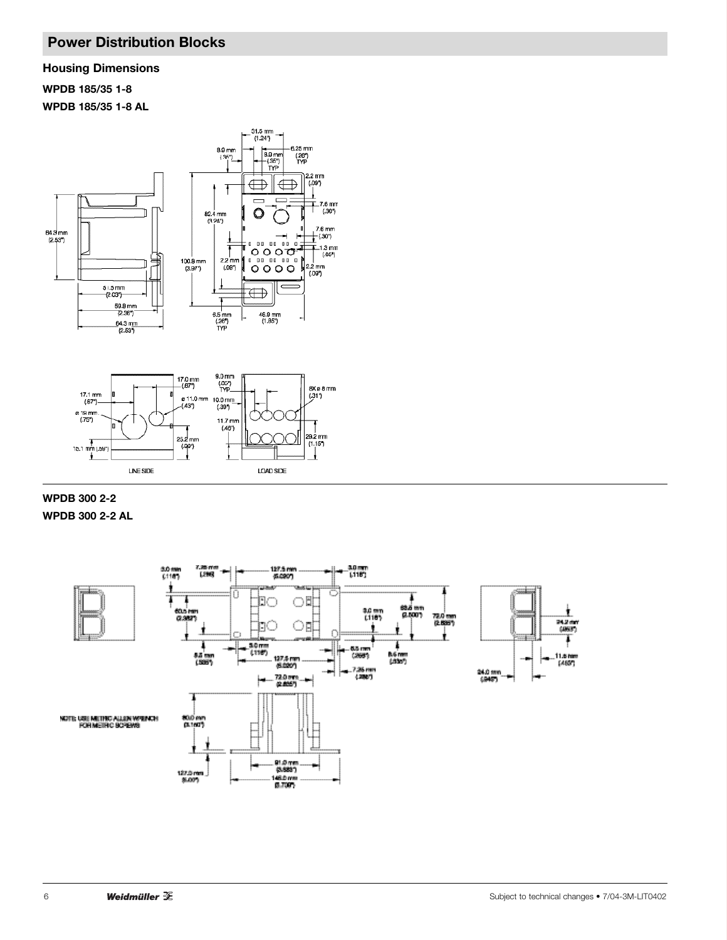**Housing Dimensions**

**WPDB 185/35 1-8**

**WPDB 185/35 1-8 AL**





**WPDB 300 2-2 WPDB 300 2-2 AL**